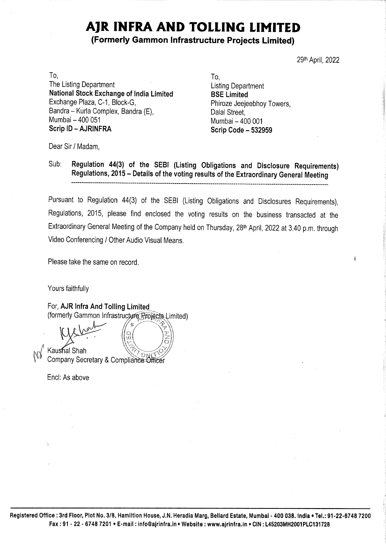## AJR INFRA AND TOLLING LIMITED

## (Formerly Gammon Infrastructure Projects Limited)

29th April, 2022

To, To, The Listing Department<br> **National Stock Exchange of India Limited BSE Limited**<br>
Exchange Plaza, C-1, Block-G, Phiroze Jeejeebhoy Towers,<br>
Bandra – Kurla Complex, Bandra (E), Dalal Street,<br>
Mumbai – 400 051 Mumbai – 400 001 Mumbai – 400 051<br>**Scrip ID – AJRINFRA Scrip Code - 532959 AJR INFRA AND To (Formerly Gammon Infrastr<br>
ing Department<br>
Il Stock Exchange of India Limited<br>
Je Plaza, C-1, Block-G,<br>
- Kurla Complex, Bandra (E),<br>
- 400 051<br>
- AJRINFRA<br>
/ Madam,<br>
Regulation 44(3) of the SEBI (Listin** 

Dear Sir / Madam,

Sub: Regulation 44(3) of the SEBI (Listing Obligations and Disclosure Requirements) Regulations, 2015 ~ Details of the voting results of the Extraordinary General Meeting

Pursuant to Regulation 44(3) of the SEBI (Listing Obligations and Disclosures Requirements), Regulations, 2015, please find enclosed the voting results on the business transacted at the Extraordinary General Meeting of the Company held on Thursday, 28<sup>th</sup> April, 2022 at 3.40 p.m. through<br>Video Conferencing / Other Audio Visual Means.<br>Please take the same on record.<br>Yours faithfully<br>For, **AJR Infra And Tol** Video Conferencing / Other Audio Visual Means. Sub: Regulations, 2015 – Details of the SEBI (Listingulations, 2015 – Details of the voting<br>
Pursuant to Regulations, 2015 – Details of the Voting<br>
Pursuant to Regulations, 2015, please find enclosed the V<br>
Extraordinary G

Please take the same on record.

Yours faithfully

For, AJR Infra And Tolling Limited

(formerly Gammon Infrastructure Projects Limited)<br>
We have the California Company of California Company (California Company) **Company Secretary & Compliance Officer** e<br>Carlos

Encl: As above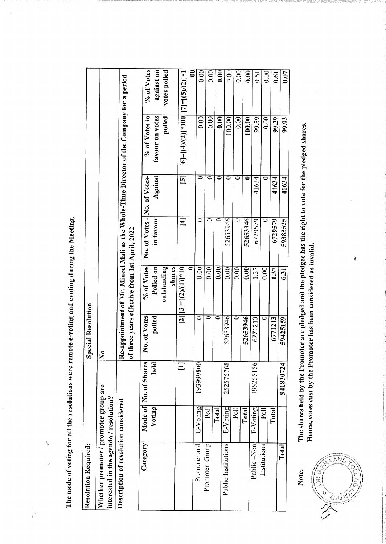The mode of voting for all the resolutions were remote e-voting and evoting during the Meeting.

Allen Corporation

 $\begin{bmatrix} 1 \\ 1 \\ 1 \\ 3 \end{bmatrix}$ 

| <b>Resolution Required:</b>                                                     |                |                       | <b>Special Resolution</b> |                                              |                              |                |                                                                                          |                               |
|---------------------------------------------------------------------------------|----------------|-----------------------|---------------------------|----------------------------------------------|------------------------------|----------------|------------------------------------------------------------------------------------------|-------------------------------|
| Whether promoter / promoter group are<br>interested in the agenda / resolution? |                |                       | $\mathbf{\Sigma}$         |                                              |                              |                |                                                                                          |                               |
| Description of resolution considered                                            |                |                       | t                         | three years effective from 1st April, 2022   |                              |                | Re-appointment of Mr. Mineel Mali as the Whole-Time Director of the Company for a period |                               |
| Category                                                                        |                | Mode of No. of Shares | No. of Votes              | % of Votes                                   | No. of Votes - No. of Votes- |                | % of Votes in                                                                            | % of Votes                    |
|                                                                                 | Voting         | held                  | polled                    | Polled on                                    | in favour                    | Against        | favour on votes                                                                          | against on                    |
|                                                                                 |                |                       |                           | outstanding<br>shares                        |                              |                | polled                                                                                   | votes polled                  |
|                                                                                 |                | $\Xi$                 |                           | $[2][3]=[2)/(1)]*10$<br>$\overline{\bullet}$ | $\Xi$                        | $\overline{5}$ | $[6] = [(4)/(2)] * 100$ $[7] = [(5)/(2)] * 1$                                            |                               |
| Promoter and                                                                    | E-Voting       | 193999800             | 0                         | 0.00                                         | 0                            | ⊂              | 0.00                                                                                     | $\mathbf{\mathsf{S}}$<br>0.00 |
| Promoter Group                                                                  | $\Xi$          |                       | $\overline{\bullet}$      | $0.00\,$                                     |                              | 0              | 0.00                                                                                     | 0.00                          |
|                                                                                 | Total          |                       | ۵                         | 0.00                                         | 0                            | 0              | 0.00                                                                                     | 0.00                          |
| Public Institutions                                                             | E-Voting       | 252575768             | 52653946                  | 0.00                                         | 52653946                     | 0              | 100.00                                                                                   | 0.00                          |
|                                                                                 | $P_{\text{O}}$ |                       | ═                         | 0.00                                         | 0                            | 0              | $0.00\,$                                                                                 | 0.00                          |
|                                                                                 | Total          |                       | 52653946                  | $\overline{0.00}$                            | 52653946                     | ∊              | 100.00                                                                                   | 0.00                          |
| Public -Non                                                                     | E-Voting       | 495255156             | 6771213                   | 1.37                                         | 6729579                      | 41634          | 99.39                                                                                    | 0.61                          |
| Institutions                                                                    | Poll           |                       | $\overline{\circ}$        | $0.00\,$                                     |                              | 0              | 0.00                                                                                     | 0.00                          |
|                                                                                 | Total          |                       | 6771213                   | 1.37                                         | 6729579                      | 41634          | 99.39                                                                                    | 0.61                          |
| Total                                                                           |                | 941830724             | 59425159                  | 631                                          | 59383525                     | 41634          | 99.93                                                                                    | 0.07                          |
|                                                                                 |                |                       |                           |                                              |                              |                |                                                                                          |                               |

Note:

The shares held by the Promoter are pledged and the pledgee has the right to vote for the pledged shares. Hence, votes cast by the Promoter has been considered as invalid.

 $\mathbf i$